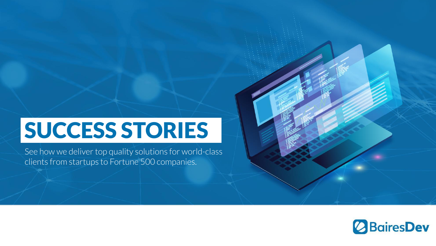# SUCCESS STORIES

See how we deliver top quality solutions for world-class clients from startups to Fortune 500 companies.

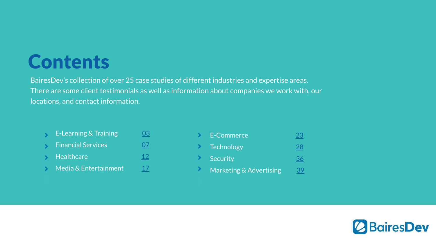## **Contents**

BairesDev's collection of over 25 case studies of different industries and expertise areas. There are some client testimonials as well as information about companies we work with, our locations, and contact information.

- E-Learning & Training **[03](#page-2-0)**  $\mathbf{S}$
- Financial Services 2[07](#page--1-0)  $\rightarrow$
- Healthcare [12](#page--1-0)  $\infty$
- Media & Entertainment  $17$  $\mathbf{S}$

| E-Commerce              |    |
|-------------------------|----|
| <b>Technology</b>       | 28 |
| Security                |    |
| Marketing & Advertising |    |

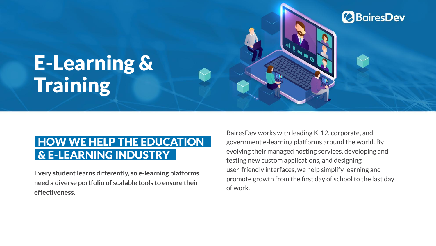# <span id="page-2-0"></span>E-Learning & **Training**

### HOW WE HELP THE EDUCATION & E-LEARNING INDUSTRY

**Every student learns differently, so e-learning platforms need a diverse portfolio of scalable tools to ensure their effectiveness.**

BairesDev works with leading K-12, corporate, and government e-learning platforms around the world. By evolving their managed hosting services, developing and testing new custom applications, and designing user-friendly interfaces, we help simplify learning and promote growth from the first day of school to the last day of work.

**BairesDev**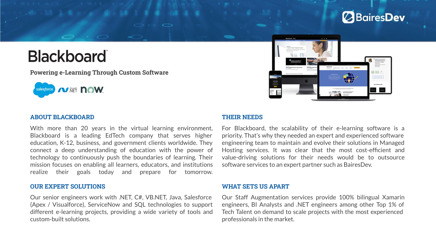### **BairesDev**

## **Blackboard**

**Powering e-Learning Through Custom Software**





#### **ABOUT BLACKBOARD**

With more than 20 years in the virtual learning environment, Blackboard is a leading EdTech company that serves higher education, K-12, business, and government clients worldwide. They connect a deep understanding of education with the power of technology to continuously push the boundaries of learning. Their mission focuses on enabling all learners, educators, and institutions realize their goals today and prepare for tomorrow.

#### **OUR EXPERT SOLUTIONS**

Our senior engineers work with .NET, C#, VB.NET, Java, Salesforce (Apex / Visualforce), ServiceNow and SQL technologies to support different e-learning projects, providing a wide variety of tools and custom-built solutions.

#### **THEIR NEEDS**

For Blackboard, the scalability of their e-learning software is a priority. That's why they needed an expert and experienced software engineering team to maintain and evolve their solutions in Managed Hosting services. It was clear that the most cost-efficient and value-driving solutions for their needs would be to outsource software services to an expert partner such as BairesDev.

#### **WHAT SETS US APART**

Our Staff Augmentation services provide 100% bilingual Xamarin engineers, BI Analysts and .NET engineers among other Top 1% of Tech Talent on demand to scale projects with the most experienced professionals in the market.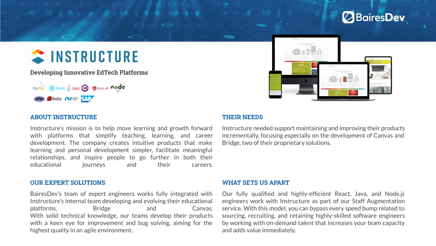### **BairesDev**

## $\approx$  INSTRUCTURE

**Developing Innovative EdTech Platforms**





#### **ABOUT INSTRUCTURE**

Instructure's mission is to help move learning and growth forward with platforms that simplify teaching, learning, and career development. The company creates intuitive products that make learning and personal development simpler, facilitate meaningful relationships, and inspire people to go further in both their educational iourneys and their careers.

#### **THEIR NEEDS**

Instructure needed support maintaining and improving their products incrementally, focusing especially on the development of Canvas and Bridge, two of their proprietary solutions.

#### **OUR EXPERT SOLUTIONS**

BairesDev's team of expert engineers works fully integrated with Instructure's internal team developing and evolving their educational platforms. Bridge and Canvas. With solid technical knowledge, our teams develop their products with a keen eye for improvement and bug solving, aiming for the highest quality in an agile environment.

#### **WHAT SETS US APART**

Our fully qualified and highly-efficient React, Java, and Node.js engineers work with Instructure as part of our Staff Augmentation service. With this model, you can bypass every speed bump related to sourcing, recruiting, and retaining highly-skilled software engineers by working with on-demand talent that increases your team capacity and adds value immediately.